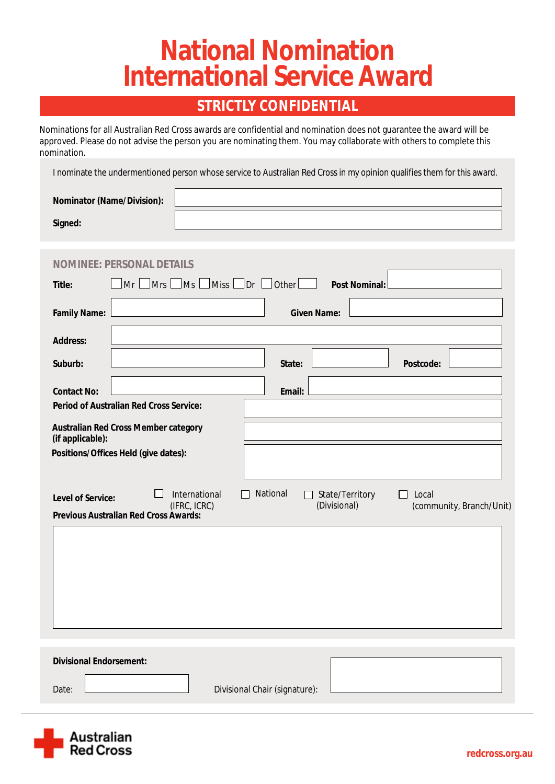# **National Nomination<br>International Service Award**

### **STRICTLY CONFIDENTIAL**

Nominations for all Australian Red Cross awards are confidential and nomination does not guarantee the award will be approved. Please do not advise the person you are nominating them. You may collaborate with others to complete this nomination.

I nominate the undermentioned person whose service to Australian Red Cross in my opinion qualifies them for this award.

| <b>Nominator (Name/Division):</b> |  |
|-----------------------------------|--|
| <b>Signed:</b>                    |  |

| EE: PE                                                                                                                                                                                                                                        |  |  |
|-----------------------------------------------------------------------------------------------------------------------------------------------------------------------------------------------------------------------------------------------|--|--|
| $\Box$ Miss $\Box$ Dr $\Box$ Other<br>$\Box$ Mrs $\Box$<br>$\Box$ Ms<br>Mr<br><b>Post Nominal:</b><br><b>Title:</b>                                                                                                                           |  |  |
| <b>Given Name:</b><br><b>Family Name:</b>                                                                                                                                                                                                     |  |  |
| <b>Address:</b>                                                                                                                                                                                                                               |  |  |
| Suburb:<br><b>Postcode:</b><br><b>State:</b>                                                                                                                                                                                                  |  |  |
| <b>Contact No:</b><br><b>Email:</b>                                                                                                                                                                                                           |  |  |
| <b>Period of Australian Red Cross Service:</b>                                                                                                                                                                                                |  |  |
| <b>Australian Red Cross Member category</b><br>(if applicable):                                                                                                                                                                               |  |  |
| Positions/Offices Held (give dates):                                                                                                                                                                                                          |  |  |
| <b>National</b><br><b>International</b><br><b>State/Territory</b><br>Local<br>$\mathsf{L}$<br>$\perp$<br><b>Level of Service:</b><br>(Divisional)<br>(IFRC, ICRC)<br>(community, Branch/Unit)<br><b>Previous Australian Red Cross Awards:</b> |  |  |
|                                                                                                                                                                                                                                               |  |  |
|                                                                                                                                                                                                                                               |  |  |
| <b>Divisional Endorsement:</b><br><b>Divisional Chair (signature):</b><br>Date:                                                                                                                                                               |  |  |

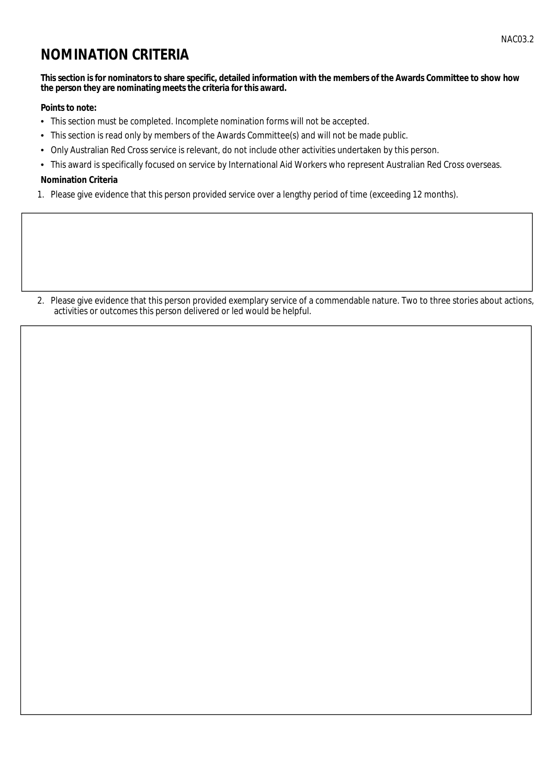## **NOMINATION CRITERIA**

#### This section is for nominators to share specific, detailed information with the members of the Awards Committee to show how the person they are nominating meets the criteria for this award.

#### **Points to note:**

- This section must be completed. Incomplete nomination forms will not be accepted.
- This section is read only by members of the Awards Committee(s) and will not be made public.
- Only Australian Red Cross service is relevant, do not include other activities undertaken by this person.
- This award is specifically focused on service by International Aid Workers who represent Australian Red Cross overseas.

#### **Nomination Criteria**

1. Please give evidence that this person provided service over a lengthy period of time (exceeding 12 months).

2. Please give evidence that this person provided exemplary service of a commendable nature. Two to three stories about actions, activities or outcomes this person delivered or led would be helpful.